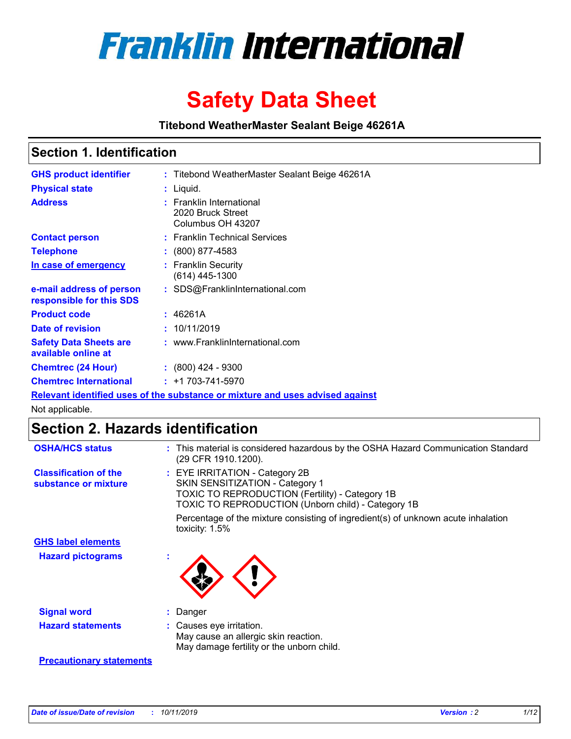

# **Safety Data Sheet**

**Titebond WeatherMaster Sealant Beige 46261A**

## **Section 1. Identification**

| <b>GHS product identifier</b>                        | : Titebond WeatherMaster Sealant Beige 46261A                                 |
|------------------------------------------------------|-------------------------------------------------------------------------------|
| <b>Physical state</b>                                | : Liquid.                                                                     |
| <b>Address</b>                                       | : Franklin International<br>2020 Bruck Street<br>Columbus OH 43207            |
| <b>Contact person</b>                                | : Franklin Technical Services                                                 |
| <b>Telephone</b>                                     | : (800) 877-4583                                                              |
| In case of emergency                                 | : Franklin Security<br>$(614)$ 445-1300                                       |
| e-mail address of person<br>responsible for this SDS | : SDS@FranklinInternational.com                                               |
| <b>Product code</b>                                  | : 46261A                                                                      |
| Date of revision                                     | : 10/11/2019                                                                  |
| <b>Safety Data Sheets are</b><br>available online at | : www.FranklinInternational.com                                               |
| <b>Chemtrec (24 Hour)</b>                            | $\div$ (800) 424 - 9300                                                       |
| <b>Chemtrec International</b>                        | $: +1703 - 741 - 5970$                                                        |
|                                                      | Relevant identified uses of the substance or mixture and uses advised against |

Not applicable.

# **Section 2. Hazards identification**

| <b>OSHA/HCS status</b>                               | : This material is considered hazardous by the OSHA Hazard Communication Standard<br>(29 CFR 1910.1200).                                                                                 |
|------------------------------------------------------|------------------------------------------------------------------------------------------------------------------------------------------------------------------------------------------|
| <b>Classification of the</b><br>substance or mixture | : EYE IRRITATION - Category 2B<br>SKIN SENSITIZATION - Category 1<br><b>TOXIC TO REPRODUCTION (Fertility) - Category 1B</b><br><b>TOXIC TO REPRODUCTION (Unborn child) - Category 1B</b> |
|                                                      | Percentage of the mixture consisting of ingredient(s) of unknown acute inhalation<br>toxicity: $1.5\%$                                                                                   |
| <b>GHS label elements</b>                            |                                                                                                                                                                                          |
| <b>Hazard pictograms</b>                             |                                                                                                                                                                                          |
| <b>Signal word</b>                                   | : Danger                                                                                                                                                                                 |
| <b>Hazard statements</b>                             | : Causes eye irritation.<br>May cause an allergic skin reaction.<br>May damage fertility or the unborn child.                                                                            |
| <b>Precautionary statements</b>                      |                                                                                                                                                                                          |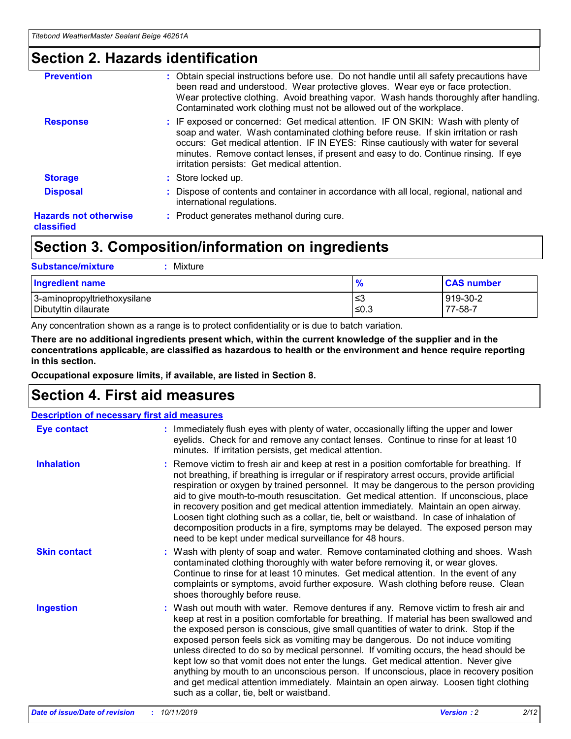# **Section 2. Hazards identification**

| <b>Prevention</b>                          | : Obtain special instructions before use. Do not handle until all safety precautions have<br>been read and understood. Wear protective gloves. Wear eye or face protection.<br>Wear protective clothing. Avoid breathing vapor. Wash hands thoroughly after handling.<br>Contaminated work clothing must not be allowed out of the workplace.                                                        |
|--------------------------------------------|------------------------------------------------------------------------------------------------------------------------------------------------------------------------------------------------------------------------------------------------------------------------------------------------------------------------------------------------------------------------------------------------------|
| <b>Response</b>                            | : IF exposed or concerned: Get medical attention. IF ON SKIN: Wash with plenty of<br>soap and water. Wash contaminated clothing before reuse. If skin irritation or rash<br>occurs: Get medical attention. IF IN EYES: Rinse cautiously with water for several<br>minutes. Remove contact lenses, if present and easy to do. Continue rinsing. If eye<br>irritation persists: Get medical attention. |
| <b>Storage</b>                             | : Store locked up.                                                                                                                                                                                                                                                                                                                                                                                   |
| <b>Disposal</b>                            | : Dispose of contents and container in accordance with all local, regional, national and<br>international regulations.                                                                                                                                                                                                                                                                               |
| <b>Hazards not otherwise</b><br>classified | : Product generates methanol during cure.                                                                                                                                                                                                                                                                                                                                                            |
|                                            |                                                                                                                                                                                                                                                                                                                                                                                                      |

# **Section 3. Composition/information on ingredients**

| <b>Substance/mixture</b><br>Mixture                  |                   |                     |
|------------------------------------------------------|-------------------|---------------------|
| <b>Ingredient name</b>                               | $\frac{9}{6}$     | <b>CAS number</b>   |
| 3-aminopropyltriethoxysilane<br>Dibutyltin dilaurate | l≤3<br>$\leq 0.3$ | 919-30-2<br>77-58-7 |

Any concentration shown as a range is to protect confidentiality or is due to batch variation.

**There are no additional ingredients present which, within the current knowledge of the supplier and in the concentrations applicable, are classified as hazardous to health or the environment and hence require reporting in this section.**

**Occupational exposure limits, if available, are listed in Section 8.**

# **Section 4. First aid measures**

| <b>Description of necessary first aid measures</b> |                                                                                                                                                                                                                                                                                                                                                                                                                                                                                                                                                                                                                                                                                                                                                                           |  |  |  |
|----------------------------------------------------|---------------------------------------------------------------------------------------------------------------------------------------------------------------------------------------------------------------------------------------------------------------------------------------------------------------------------------------------------------------------------------------------------------------------------------------------------------------------------------------------------------------------------------------------------------------------------------------------------------------------------------------------------------------------------------------------------------------------------------------------------------------------------|--|--|--|
| <b>Eye contact</b>                                 | : Immediately flush eyes with plenty of water, occasionally lifting the upper and lower<br>eyelids. Check for and remove any contact lenses. Continue to rinse for at least 10<br>minutes. If irritation persists, get medical attention.                                                                                                                                                                                                                                                                                                                                                                                                                                                                                                                                 |  |  |  |
| <b>Inhalation</b>                                  | : Remove victim to fresh air and keep at rest in a position comfortable for breathing. If<br>not breathing, if breathing is irregular or if respiratory arrest occurs, provide artificial<br>respiration or oxygen by trained personnel. It may be dangerous to the person providing<br>aid to give mouth-to-mouth resuscitation. Get medical attention. If unconscious, place<br>in recovery position and get medical attention immediately. Maintain an open airway.<br>Loosen tight clothing such as a collar, tie, belt or waistband. In case of inhalation of<br>decomposition products in a fire, symptoms may be delayed. The exposed person may<br>need to be kept under medical surveillance for 48 hours.                                                       |  |  |  |
| <b>Skin contact</b>                                | : Wash with plenty of soap and water. Remove contaminated clothing and shoes. Wash<br>contaminated clothing thoroughly with water before removing it, or wear gloves.<br>Continue to rinse for at least 10 minutes. Get medical attention. In the event of any<br>complaints or symptoms, avoid further exposure. Wash clothing before reuse. Clean<br>shoes thoroughly before reuse.                                                                                                                                                                                                                                                                                                                                                                                     |  |  |  |
| <b>Ingestion</b>                                   | : Wash out mouth with water. Remove dentures if any. Remove victim to fresh air and<br>keep at rest in a position comfortable for breathing. If material has been swallowed and<br>the exposed person is conscious, give small quantities of water to drink. Stop if the<br>exposed person feels sick as vomiting may be dangerous. Do not induce vomiting<br>unless directed to do so by medical personnel. If vomiting occurs, the head should be<br>kept low so that vomit does not enter the lungs. Get medical attention. Never give<br>anything by mouth to an unconscious person. If unconscious, place in recovery position<br>and get medical attention immediately. Maintain an open airway. Loosen tight clothing<br>such as a collar, tie, belt or waistband. |  |  |  |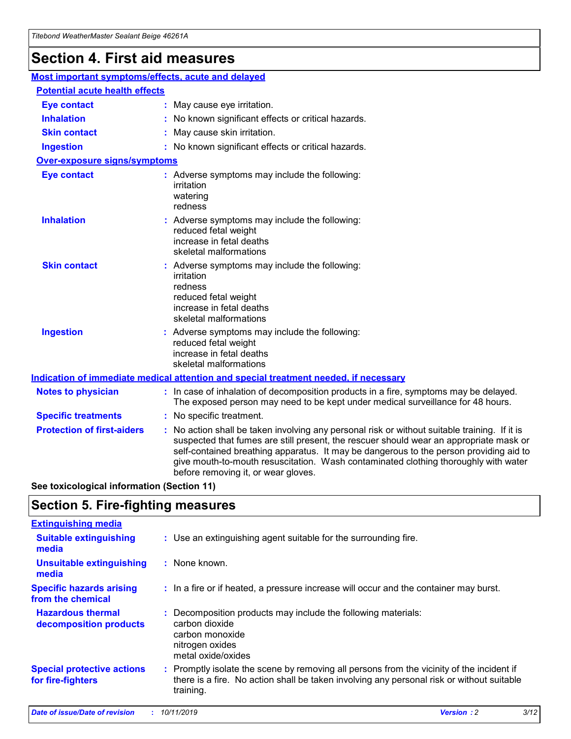# **Section 4. First aid measures**

| Most important symptoms/effects, acute and delayed |                                       |                                                                                                                                                                                                                                                                                                                                                                                                                 |  |  |  |
|----------------------------------------------------|---------------------------------------|-----------------------------------------------------------------------------------------------------------------------------------------------------------------------------------------------------------------------------------------------------------------------------------------------------------------------------------------------------------------------------------------------------------------|--|--|--|
|                                                    | <b>Potential acute health effects</b> |                                                                                                                                                                                                                                                                                                                                                                                                                 |  |  |  |
| <b>Eye contact</b>                                 |                                       | : May cause eye irritation.                                                                                                                                                                                                                                                                                                                                                                                     |  |  |  |
| <b>Inhalation</b>                                  |                                       | : No known significant effects or critical hazards.                                                                                                                                                                                                                                                                                                                                                             |  |  |  |
| <b>Skin contact</b>                                |                                       | : May cause skin irritation.                                                                                                                                                                                                                                                                                                                                                                                    |  |  |  |
| <b>Ingestion</b>                                   |                                       | : No known significant effects or critical hazards.                                                                                                                                                                                                                                                                                                                                                             |  |  |  |
| Over-exposure signs/symptoms                       |                                       |                                                                                                                                                                                                                                                                                                                                                                                                                 |  |  |  |
| <b>Eye contact</b>                                 |                                       | : Adverse symptoms may include the following:<br>irritation<br>watering<br>redness                                                                                                                                                                                                                                                                                                                              |  |  |  |
| <b>Inhalation</b>                                  |                                       | : Adverse symptoms may include the following:<br>reduced fetal weight<br>increase in fetal deaths<br>skeletal malformations                                                                                                                                                                                                                                                                                     |  |  |  |
| <b>Skin contact</b>                                |                                       | : Adverse symptoms may include the following:<br>irritation<br>redness<br>reduced fetal weight<br>increase in fetal deaths<br>skeletal malformations                                                                                                                                                                                                                                                            |  |  |  |
| <b>Ingestion</b>                                   |                                       | : Adverse symptoms may include the following:<br>reduced fetal weight<br>increase in fetal deaths<br>skeletal malformations                                                                                                                                                                                                                                                                                     |  |  |  |
|                                                    |                                       | <b>Indication of immediate medical attention and special treatment needed, if necessary</b>                                                                                                                                                                                                                                                                                                                     |  |  |  |
| <b>Notes to physician</b>                          |                                       | : In case of inhalation of decomposition products in a fire, symptoms may be delayed.<br>The exposed person may need to be kept under medical surveillance for 48 hours.                                                                                                                                                                                                                                        |  |  |  |
| <b>Specific treatments</b>                         |                                       | : No specific treatment.                                                                                                                                                                                                                                                                                                                                                                                        |  |  |  |
| <b>Protection of first-aiders</b>                  |                                       | : No action shall be taken involving any personal risk or without suitable training. If it is<br>suspected that fumes are still present, the rescuer should wear an appropriate mask or<br>self-contained breathing apparatus. It may be dangerous to the person providing aid to<br>give mouth-to-mouth resuscitation. Wash contaminated clothing thoroughly with water<br>before removing it, or wear gloves. |  |  |  |

**See toxicological information (Section 11)**

# **Section 5. Fire-fighting measures**

| <b>Extinguishing media</b>                             |                                                                                                                                                                                                     |
|--------------------------------------------------------|-----------------------------------------------------------------------------------------------------------------------------------------------------------------------------------------------------|
| <b>Suitable extinguishing</b><br>media                 | : Use an extinguishing agent suitable for the surrounding fire.                                                                                                                                     |
| <b>Unsuitable extinguishing</b><br>media               | : None known.                                                                                                                                                                                       |
| <b>Specific hazards arising</b><br>from the chemical   | : In a fire or if heated, a pressure increase will occur and the container may burst.                                                                                                               |
| <b>Hazardous thermal</b><br>decomposition products     | : Decomposition products may include the following materials:<br>carbon dioxide<br>carbon monoxide<br>nitrogen oxides<br>metal oxide/oxides                                                         |
| <b>Special protective actions</b><br>for fire-fighters | : Promptly isolate the scene by removing all persons from the vicinity of the incident if<br>there is a fire. No action shall be taken involving any personal risk or without suitable<br>training. |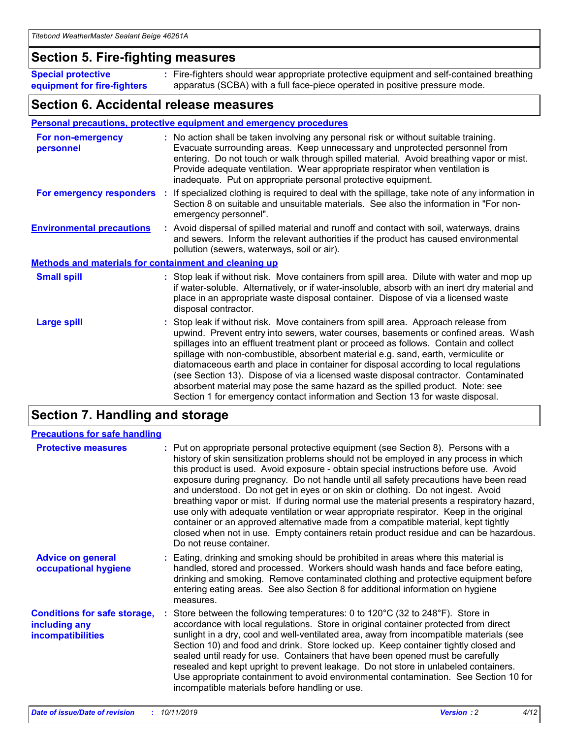## **Section 5. Fire-fighting measures**

**Special protective equipment for fire-fighters** Fire-fighters should wear appropriate protective equipment and self-contained breathing **:** apparatus (SCBA) with a full face-piece operated in positive pressure mode.

## **Section 6. Accidental release measures**

#### **Personal precautions, protective equipment and emergency procedures**

| For non-emergency<br>personnel                               | : No action shall be taken involving any personal risk or without suitable training.<br>Evacuate surrounding areas. Keep unnecessary and unprotected personnel from<br>entering. Do not touch or walk through spilled material. Avoid breathing vapor or mist.<br>Provide adequate ventilation. Wear appropriate respirator when ventilation is<br>inadequate. Put on appropriate personal protective equipment.                                                                                                                                                                                                                                                                                             |
|--------------------------------------------------------------|--------------------------------------------------------------------------------------------------------------------------------------------------------------------------------------------------------------------------------------------------------------------------------------------------------------------------------------------------------------------------------------------------------------------------------------------------------------------------------------------------------------------------------------------------------------------------------------------------------------------------------------------------------------------------------------------------------------|
|                                                              | For emergency responders : If specialized clothing is required to deal with the spillage, take note of any information in<br>Section 8 on suitable and unsuitable materials. See also the information in "For non-<br>emergency personnel".                                                                                                                                                                                                                                                                                                                                                                                                                                                                  |
| <b>Environmental precautions</b>                             | : Avoid dispersal of spilled material and runoff and contact with soil, waterways, drains<br>and sewers. Inform the relevant authorities if the product has caused environmental<br>pollution (sewers, waterways, soil or air).                                                                                                                                                                                                                                                                                                                                                                                                                                                                              |
| <b>Methods and materials for containment and cleaning up</b> |                                                                                                                                                                                                                                                                                                                                                                                                                                                                                                                                                                                                                                                                                                              |
| <b>Small spill</b>                                           | : Stop leak if without risk. Move containers from spill area. Dilute with water and mop up<br>if water-soluble. Alternatively, or if water-insoluble, absorb with an inert dry material and<br>place in an appropriate waste disposal container. Dispose of via a licensed waste<br>disposal contractor.                                                                                                                                                                                                                                                                                                                                                                                                     |
| <b>Large spill</b>                                           | : Stop leak if without risk. Move containers from spill area. Approach release from<br>upwind. Prevent entry into sewers, water courses, basements or confined areas. Wash<br>spillages into an effluent treatment plant or proceed as follows. Contain and collect<br>spillage with non-combustible, absorbent material e.g. sand, earth, vermiculite or<br>diatomaceous earth and place in container for disposal according to local regulations<br>(see Section 13). Dispose of via a licensed waste disposal contractor. Contaminated<br>absorbent material may pose the same hazard as the spilled product. Note: see<br>Section 1 for emergency contact information and Section 13 for waste disposal. |

# **Section 7. Handling and storage**

| <b>Precautions for safe handling</b>                                             |                                                                                                                                                                                                                                                                                                                                                                                                                                                                                                                                                                                                                                                                                                                                                                                                                                                  |
|----------------------------------------------------------------------------------|--------------------------------------------------------------------------------------------------------------------------------------------------------------------------------------------------------------------------------------------------------------------------------------------------------------------------------------------------------------------------------------------------------------------------------------------------------------------------------------------------------------------------------------------------------------------------------------------------------------------------------------------------------------------------------------------------------------------------------------------------------------------------------------------------------------------------------------------------|
| <b>Protective measures</b>                                                       | : Put on appropriate personal protective equipment (see Section 8). Persons with a<br>history of skin sensitization problems should not be employed in any process in which<br>this product is used. Avoid exposure - obtain special instructions before use. Avoid<br>exposure during pregnancy. Do not handle until all safety precautions have been read<br>and understood. Do not get in eyes or on skin or clothing. Do not ingest. Avoid<br>breathing vapor or mist. If during normal use the material presents a respiratory hazard,<br>use only with adequate ventilation or wear appropriate respirator. Keep in the original<br>container or an approved alternative made from a compatible material, kept tightly<br>closed when not in use. Empty containers retain product residue and can be hazardous.<br>Do not reuse container. |
| <b>Advice on general</b><br>occupational hygiene                                 | : Eating, drinking and smoking should be prohibited in areas where this material is<br>handled, stored and processed. Workers should wash hands and face before eating,<br>drinking and smoking. Remove contaminated clothing and protective equipment before<br>entering eating areas. See also Section 8 for additional information on hygiene<br>measures.                                                                                                                                                                                                                                                                                                                                                                                                                                                                                    |
| <b>Conditions for safe storage,</b><br>including any<br><b>incompatibilities</b> | : Store between the following temperatures: 0 to 120 $\degree$ C (32 to 248 $\degree$ F). Store in<br>accordance with local regulations. Store in original container protected from direct<br>sunlight in a dry, cool and well-ventilated area, away from incompatible materials (see<br>Section 10) and food and drink. Store locked up. Keep container tightly closed and<br>sealed until ready for use. Containers that have been opened must be carefully<br>resealed and kept upright to prevent leakage. Do not store in unlabeled containers.<br>Use appropriate containment to avoid environmental contamination. See Section 10 for<br>incompatible materials before handling or use.                                                                                                                                                   |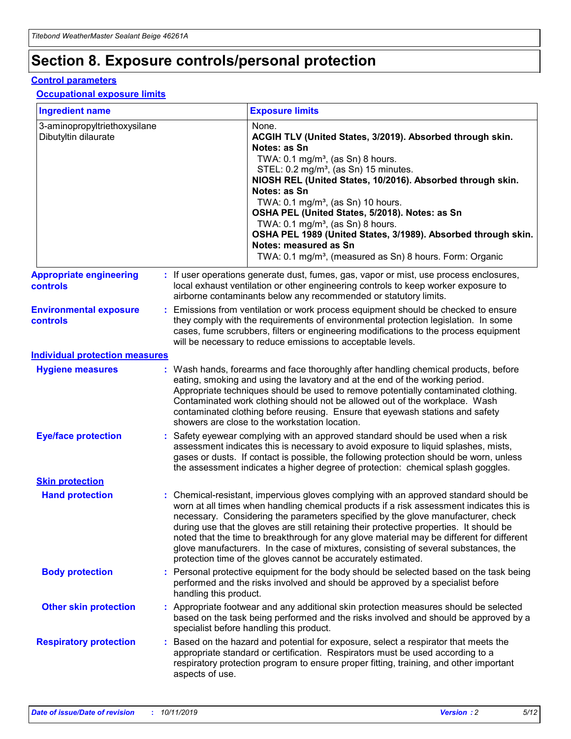# **Section 8. Exposure controls/personal protection**

#### **Control parameters**

#### **Occupational exposure limits**

| <b>Ingredient name</b>                               |    |                        | <b>Exposure limits</b>                                                                                                                                                                                                                                                                                                                                                                                                                                                                                                                                                                                                 |
|------------------------------------------------------|----|------------------------|------------------------------------------------------------------------------------------------------------------------------------------------------------------------------------------------------------------------------------------------------------------------------------------------------------------------------------------------------------------------------------------------------------------------------------------------------------------------------------------------------------------------------------------------------------------------------------------------------------------------|
| 3-aminopropyltriethoxysilane<br>Dibutyltin dilaurate |    |                        | None.<br>ACGIH TLV (United States, 3/2019). Absorbed through skin.<br>Notes: as Sn<br>TWA: $0.1 \text{ mg/m}^3$ , (as Sn) 8 hours.<br>STEL: 0.2 mg/m <sup>3</sup> , (as Sn) 15 minutes.<br>NIOSH REL (United States, 10/2016). Absorbed through skin.<br>Notes: as Sn<br>TWA: 0.1 mg/m <sup>3</sup> , (as Sn) 10 hours.<br>OSHA PEL (United States, 5/2018). Notes: as Sn<br>TWA: 0.1 mg/m <sup>3</sup> , (as Sn) 8 hours.<br>OSHA PEL 1989 (United States, 3/1989). Absorbed through skin.<br>Notes: measured as Sn<br>TWA: 0.1 mg/m <sup>3</sup> , (measured as Sn) 8 hours. Form: Organic                           |
| <b>Appropriate engineering</b><br>controls           |    |                        | : If user operations generate dust, fumes, gas, vapor or mist, use process enclosures,<br>local exhaust ventilation or other engineering controls to keep worker exposure to<br>airborne contaminants below any recommended or statutory limits.                                                                                                                                                                                                                                                                                                                                                                       |
| <b>Environmental exposure</b><br>controls            |    |                        | Emissions from ventilation or work process equipment should be checked to ensure<br>they comply with the requirements of environmental protection legislation. In some<br>cases, fume scrubbers, filters or engineering modifications to the process equipment<br>will be necessary to reduce emissions to acceptable levels.                                                                                                                                                                                                                                                                                          |
| <b>Individual protection measures</b>                |    |                        |                                                                                                                                                                                                                                                                                                                                                                                                                                                                                                                                                                                                                        |
| <b>Hygiene measures</b>                              |    |                        | : Wash hands, forearms and face thoroughly after handling chemical products, before<br>eating, smoking and using the lavatory and at the end of the working period.<br>Appropriate techniques should be used to remove potentially contaminated clothing.<br>Contaminated work clothing should not be allowed out of the workplace. Wash<br>contaminated clothing before reusing. Ensure that eyewash stations and safety<br>showers are close to the workstation location.                                                                                                                                            |
| <b>Eye/face protection</b>                           |    |                        | Safety eyewear complying with an approved standard should be used when a risk<br>assessment indicates this is necessary to avoid exposure to liquid splashes, mists,<br>gases or dusts. If contact is possible, the following protection should be worn, unless<br>the assessment indicates a higher degree of protection: chemical splash goggles.                                                                                                                                                                                                                                                                    |
| <b>Skin protection</b>                               |    |                        |                                                                                                                                                                                                                                                                                                                                                                                                                                                                                                                                                                                                                        |
| <b>Hand protection</b>                               |    |                        | : Chemical-resistant, impervious gloves complying with an approved standard should be<br>worn at all times when handling chemical products if a risk assessment indicates this is<br>necessary. Considering the parameters specified by the glove manufacturer, check<br>during use that the gloves are still retaining their protective properties. It should be<br>noted that the time to breakthrough for any glove material may be different for different<br>glove manufacturers. In the case of mixtures, consisting of several substances, the<br>protection time of the gloves cannot be accurately estimated. |
| <b>Body protection</b>                               |    | handling this product. | Personal protective equipment for the body should be selected based on the task being<br>performed and the risks involved and should be approved by a specialist before                                                                                                                                                                                                                                                                                                                                                                                                                                                |
| <b>Other skin protection</b>                         |    |                        | : Appropriate footwear and any additional skin protection measures should be selected<br>based on the task being performed and the risks involved and should be approved by a<br>specialist before handling this product.                                                                                                                                                                                                                                                                                                                                                                                              |
| <b>Respiratory protection</b>                        | ÷. | aspects of use.        | Based on the hazard and potential for exposure, select a respirator that meets the<br>appropriate standard or certification. Respirators must be used according to a<br>respiratory protection program to ensure proper fitting, training, and other important                                                                                                                                                                                                                                                                                                                                                         |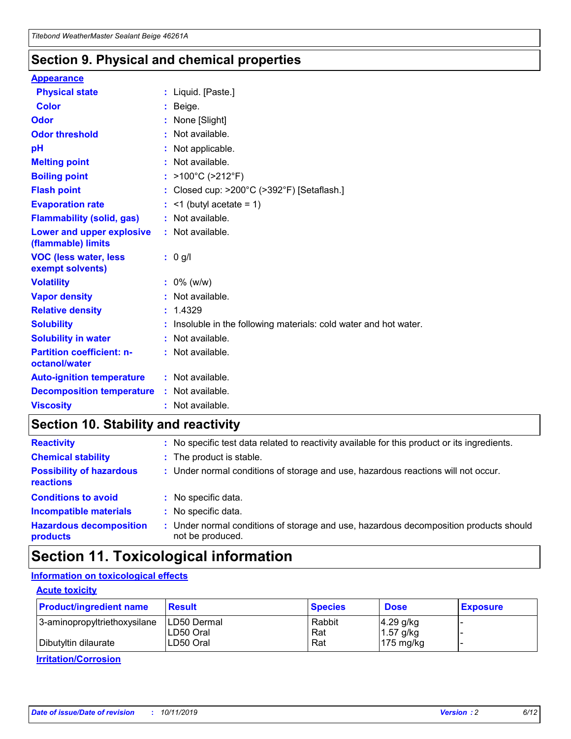## **Section 9. Physical and chemical properties**

#### **Appearance**

| <b>Physical state</b>                             | : Liquid. [Paste.]                                                |
|---------------------------------------------------|-------------------------------------------------------------------|
| Color                                             | Beige.                                                            |
| Odor                                              | None [Slight]                                                     |
| <b>Odor threshold</b>                             | : Not available.                                                  |
| pH                                                | : Not applicable.                                                 |
| <b>Melting point</b>                              | : Not available.                                                  |
| <b>Boiling point</b>                              | : $>100^{\circ}$ C ( $>212^{\circ}$ F)                            |
| <b>Flash point</b>                                | : Closed cup: $>200^{\circ}$ C ( $>392^{\circ}$ F) [Setaflash.]   |
| <b>Evaporation rate</b>                           | $:$ <1 (butyl acetate = 1)                                        |
| <b>Flammability (solid, gas)</b>                  | : Not available.                                                  |
| Lower and upper explosive<br>(flammable) limits   | : Not available.                                                  |
| <b>VOC (less water, less</b><br>exempt solvents)  | $: 0$ g/l                                                         |
| <b>Volatility</b>                                 | $: 0\%$ (w/w)                                                     |
| <b>Vapor density</b>                              | : Not available.                                                  |
| <b>Relative density</b>                           | : 1.4329                                                          |
| <b>Solubility</b>                                 | : Insoluble in the following materials: cold water and hot water. |
| <b>Solubility in water</b>                        | : Not available.                                                  |
| <b>Partition coefficient: n-</b><br>octanol/water | : Not available.                                                  |
| <b>Auto-ignition temperature</b>                  | : Not available.                                                  |
| <b>Decomposition temperature</b>                  | : Not available.                                                  |
| <b>Viscosity</b>                                  | : Not available.                                                  |

# **Section 10. Stability and reactivity**

| <b>Reactivity</b>                            |    | : No specific test data related to reactivity available for this product or its ingredients.            |
|----------------------------------------------|----|---------------------------------------------------------------------------------------------------------|
| <b>Chemical stability</b>                    |    | : The product is stable.                                                                                |
| <b>Possibility of hazardous</b><br>reactions |    | : Under normal conditions of storage and use, hazardous reactions will not occur.                       |
| <b>Conditions to avoid</b>                   |    | : No specific data.                                                                                     |
| <b>Incompatible materials</b>                | ٠. | No specific data.                                                                                       |
| <b>Hazardous decomposition</b><br>products   | ÷. | Under normal conditions of storage and use, hazardous decomposition products should<br>not be produced. |

# **Section 11. Toxicological information**

## **Information on toxicological effects**

#### **Acute toxicity**

| <b>Product/ingredient name</b> | <b>Result</b>           | <b>Species</b> | <b>Dose</b>                | <b>Exposure</b> |
|--------------------------------|-------------------------|----------------|----------------------------|-----------------|
| 3-aminopropyltriethoxysilane   | <b>ILD50 Dermal</b>     | Rabbit         | 4.29 g/kg                  |                 |
| Dibutyltin dilaurate           | ILD50 Oral<br>LD50 Oral | Rat<br>Rat     | $1.57$ g/kg<br>175 $mg/kg$ |                 |
|                                |                         |                |                            |                 |

**Irritation/Corrosion**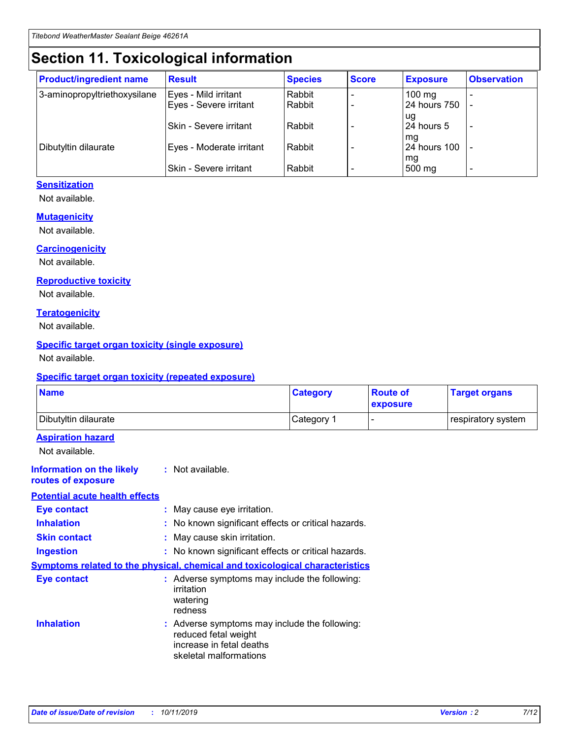# **Section 11. Toxicological information**

| <b>Product/ingredient name</b> | <b>Result</b>            | <b>Species</b> | <b>Score</b> | <b>Exposure</b>           | <b>Observation</b> |
|--------------------------------|--------------------------|----------------|--------------|---------------------------|--------------------|
| 3-aminopropyltriethoxysilane   | Eyes - Mild irritant     | Rabbit         |              | $100$ mg                  |                    |
|                                | Eyes - Severe irritant   | Rabbit         |              | 24 hours 750              |                    |
|                                |                          |                |              | ug                        |                    |
|                                | Skin - Severe irritant   | Rabbit         |              | 24 hours 5                | -                  |
| Dibutyltin dilaurate           | Eyes - Moderate irritant | Rabbit         |              | mg<br><b>24 hours 100</b> |                    |
|                                |                          |                |              | mg                        |                    |
|                                | Skin - Severe irritant   | Rabbit         |              | 500 mg                    | -                  |

### **Sensitization**

Not available.

#### **Mutagenicity**

Not available.

#### **Carcinogenicity**

Not available.

#### **Reproductive toxicity**

Not available.

#### **Teratogenicity**

Not available.

#### **Specific target organ toxicity (single exposure)**

Not available.

#### **Specific target organ toxicity (repeated exposure)**

| <b>Name</b>                                                                  |                                                                                                                             | <b>Category</b> | <b>Route of</b><br>exposure  | <b>Target organs</b> |
|------------------------------------------------------------------------------|-----------------------------------------------------------------------------------------------------------------------------|-----------------|------------------------------|----------------------|
| Dibutyltin dilaurate                                                         |                                                                                                                             | Category 1      | $\qquad \qquad \blacksquare$ | respiratory system   |
| <b>Aspiration hazard</b><br>Not available.                                   |                                                                                                                             |                 |                              |                      |
| <b>Information on the likely</b><br>routes of exposure                       | : Not available.                                                                                                            |                 |                              |                      |
| <b>Potential acute health effects</b>                                        |                                                                                                                             |                 |                              |                      |
| <b>Eye contact</b>                                                           | : May cause eye irritation.                                                                                                 |                 |                              |                      |
| <b>Inhalation</b>                                                            | : No known significant effects or critical hazards.                                                                         |                 |                              |                      |
| <b>Skin contact</b>                                                          | : May cause skin irritation.                                                                                                |                 |                              |                      |
| <b>Ingestion</b>                                                             | : No known significant effects or critical hazards.                                                                         |                 |                              |                      |
| Symptoms related to the physical, chemical and toxicological characteristics |                                                                                                                             |                 |                              |                      |
| <b>Eye contact</b>                                                           | : Adverse symptoms may include the following:<br>irritation<br>watering<br>redness                                          |                 |                              |                      |
| <b>Inhalation</b>                                                            | : Adverse symptoms may include the following:<br>reduced fetal weight<br>increase in fetal deaths<br>skeletal malformations |                 |                              |                      |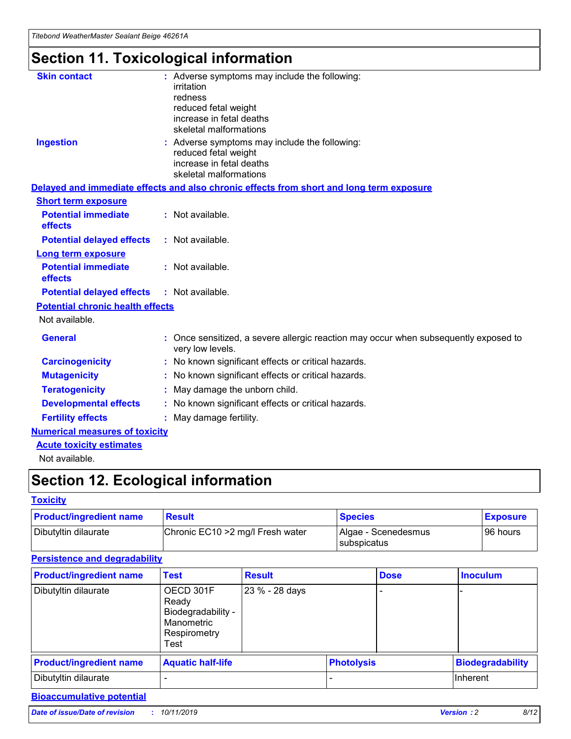# **Section 11. Toxicological information**

| <b>Skin contact</b>                     | : Adverse symptoms may include the following:                                                            |
|-----------------------------------------|----------------------------------------------------------------------------------------------------------|
|                                         | irritation                                                                                               |
|                                         | redness                                                                                                  |
|                                         | reduced fetal weight                                                                                     |
|                                         | increase in fetal deaths                                                                                 |
|                                         | skeletal malformations                                                                                   |
| <b>Ingestion</b>                        | : Adverse symptoms may include the following:                                                            |
|                                         | reduced fetal weight                                                                                     |
|                                         | increase in fetal deaths                                                                                 |
|                                         | skeletal malformations                                                                                   |
|                                         | Delayed and immediate effects and also chronic effects from short and long term exposure                 |
| <b>Short term exposure</b>              |                                                                                                          |
| <b>Potential immediate</b>              | : Not available.                                                                                         |
| effects                                 |                                                                                                          |
| <b>Potential delayed effects</b>        | : Not available.                                                                                         |
| Long term exposure                      |                                                                                                          |
| <b>Potential immediate</b>              | : Not available.                                                                                         |
| effects                                 |                                                                                                          |
| <b>Potential delayed effects</b>        | : Not available.                                                                                         |
| <b>Potential chronic health effects</b> |                                                                                                          |
| Not available.                          |                                                                                                          |
| <b>General</b>                          | : Once sensitized, a severe allergic reaction may occur when subsequently exposed to<br>very low levels. |
| <b>Carcinogenicity</b>                  | : No known significant effects or critical hazards.                                                      |
| <b>Mutagenicity</b>                     | : No known significant effects or critical hazards.                                                      |
| <b>Teratogenicity</b>                   | May damage the unborn child.                                                                             |
| <b>Developmental effects</b>            | : No known significant effects or critical hazards.                                                      |
| <b>Fertility effects</b>                | May damage fertility.                                                                                    |
| <b>Numerical measures of toxicity</b>   |                                                                                                          |
| <b>Acute toxicity estimates</b>         |                                                                                                          |
| الملحلة والمستحقق فالمرابط              |                                                                                                          |

Not available.

# **Section 12. Ecological information**

#### **Toxicity**

| <b>Product/ingredient name</b> | <b>Result</b>                     | <b>Species</b>                       | <b>Exposure</b> |
|--------------------------------|-----------------------------------|--------------------------------------|-----------------|
| Dibutyltin dilaurate           | Chronic EC10 > 2 mg/l Fresh water | Algae - Scenedesmus<br>I subspicatus | l 96 hours i    |

## **Persistence and degradability**

| <b>Product/ingredient name</b> | <b>Test</b>                                                                    | <b>Result</b>  |                   | <b>Dose</b> | <b>Inoculum</b>         |
|--------------------------------|--------------------------------------------------------------------------------|----------------|-------------------|-------------|-------------------------|
| Dibutyltin dilaurate           | OECD 301F<br>Ready<br>Biodegradability -<br>Manometric<br>Respirometry<br>Test | 23 % - 28 days |                   |             |                         |
| <b>Product/ingredient name</b> | <b>Aquatic half-life</b>                                                       |                | <b>Photolysis</b> |             | <b>Biodegradability</b> |
| Dibutyltin dilaurate           |                                                                                |                |                   |             | Inherent                |

## **Bioaccumulative potential**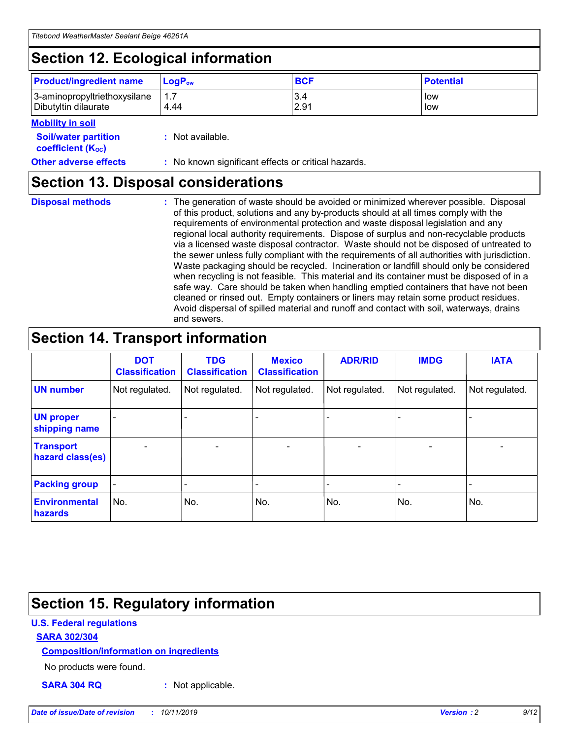# **Section 12. Ecological information**

| <b>Product/ingredient name</b> | $LoaPow$ | <b>BCF</b> | <b>Potential</b> |
|--------------------------------|----------|------------|------------------|
| 3-aminopropyltriethoxysilane   | 1.7      | 3.4        | low              |
| Dibutyltin dilaurate           | 4.44     | 2.91       | low              |

#### **Mobility in soil**

| <b>Soil/water partition</b><br>coefficient (K <sub>oc</sub> ) | : Not available.                                    |
|---------------------------------------------------------------|-----------------------------------------------------|
| <b>Other adverse effects</b>                                  | : No known significant effects or critical hazards. |

## **Section 13. Disposal considerations**

**Disposal methods :**

The generation of waste should be avoided or minimized wherever possible. Disposal of this product, solutions and any by-products should at all times comply with the requirements of environmental protection and waste disposal legislation and any regional local authority requirements. Dispose of surplus and non-recyclable products via a licensed waste disposal contractor. Waste should not be disposed of untreated to the sewer unless fully compliant with the requirements of all authorities with jurisdiction. Waste packaging should be recycled. Incineration or landfill should only be considered when recycling is not feasible. This material and its container must be disposed of in a safe way. Care should be taken when handling emptied containers that have not been cleaned or rinsed out. Empty containers or liners may retain some product residues. Avoid dispersal of spilled material and runoff and contact with soil, waterways, drains and sewers.

# **Section 14. Transport information**

|                                      | <b>DOT</b><br><b>Classification</b> | <b>TDG</b><br><b>Classification</b> | <b>Mexico</b><br><b>Classification</b> | <b>ADR/RID</b> | <b>IMDG</b>              | <b>IATA</b>              |
|--------------------------------------|-------------------------------------|-------------------------------------|----------------------------------------|----------------|--------------------------|--------------------------|
| <b>UN number</b>                     | Not regulated.                      | Not regulated.                      | Not regulated.                         | Not regulated. | Not regulated.           | Not regulated.           |
| <b>UN proper</b><br>shipping name    | $\blacksquare$                      |                                     |                                        |                |                          |                          |
| <b>Transport</b><br>hazard class(es) | $\blacksquare$                      | $\overline{\phantom{a}}$            | $\blacksquare$                         | $\blacksquare$ | $\overline{\phantom{a}}$ | $\overline{\phantom{0}}$ |
| <b>Packing group</b>                 | $\overline{\phantom{a}}$            | $\overline{\phantom{0}}$            | $\overline{\phantom{a}}$               | -              | $\overline{\phantom{0}}$ | $\overline{\phantom{a}}$ |
| <b>Environmental</b><br>hazards      | No.                                 | No.                                 | No.                                    | No.            | No.                      | No.                      |

# **Section 15. Regulatory information**

### **U.S. Federal regulations**

#### **SARA 302/304**

#### **Composition/information on ingredients**

No products were found.

**SARA 304 RQ :** Not applicable.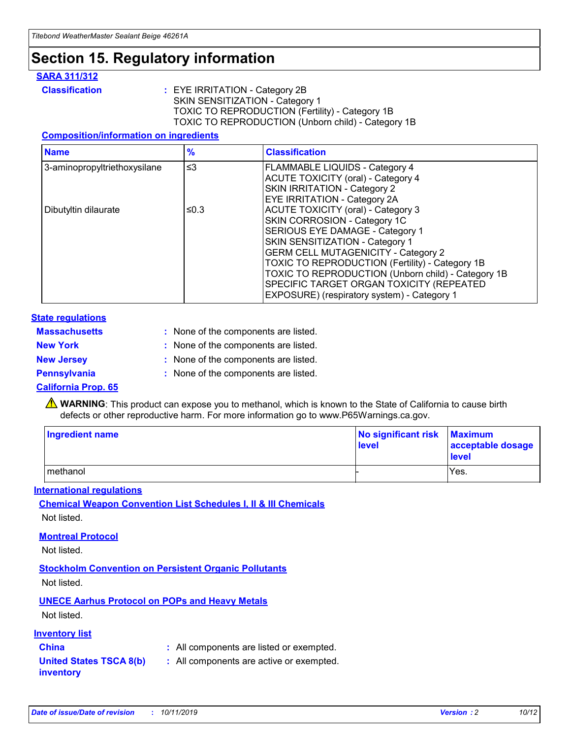# **Section 15. Regulatory information**

#### **SARA 311/312**

**Classification :** EYE IRRITATION - Category 2B SKIN SENSITIZATION - Category 1 TOXIC TO REPRODUCTION (Fertility) - Category 1B TOXIC TO REPRODUCTION (Unborn child) - Category 1B

#### **Composition/information on ingredients**

| <b>Name</b>                  | $\frac{9}{6}$ | <b>Classification</b>                                                                                            |
|------------------------------|---------------|------------------------------------------------------------------------------------------------------------------|
| 3-aminopropyltriethoxysilane | $\leq$ 3      | <b>FLAMMABLE LIQUIDS - Category 4</b><br><b>ACUTE TOXICITY (oral) - Category 4</b>                               |
|                              |               | SKIN IRRITATION - Category 2<br>EYE IRRITATION - Category 2A                                                     |
| Dibutyltin dilaurate         | ≤0.3          | ACUTE TOXICITY (oral) - Category 3<br>SKIN CORROSION - Category 1C                                               |
|                              |               | SERIOUS EYE DAMAGE - Category 1<br>SKIN SENSITIZATION - Category 1<br><b>GERM CELL MUTAGENICITY - Category 2</b> |
|                              |               | TOXIC TO REPRODUCTION (Fertility) - Category 1B<br>TOXIC TO REPRODUCTION (Unborn child) - Category 1B            |
|                              |               | SPECIFIC TARGET ORGAN TOXICITY (REPEATED<br>EXPOSURE) (respiratory system) - Category 1                          |

#### **State regulations**

| <b>Massachusetts</b> | : None of the components are listed. |
|----------------------|--------------------------------------|
| <b>New York</b>      | : None of the components are listed. |
| <b>New Jersey</b>    | : None of the components are listed. |
| <b>Pennsylvania</b>  | : None of the components are listed. |

#### **California Prop. 65**

**A** WARNING: This product can expose you to methanol, which is known to the State of California to cause birth defects or other reproductive harm. For more information go to www.P65Warnings.ca.gov.

| <b>Ingredient name</b> | No significant risk Maximum<br>level | acceptable dosage<br>level |
|------------------------|--------------------------------------|----------------------------|
| methanol               |                                      | Yes.                       |

#### **International regulations**

**Chemical Weapon Convention List Schedules I, II & III Chemicals** Not listed.

#### **Montreal Protocol**

Not listed.

#### **Stockholm Convention on Persistent Organic Pollutants**

Not listed.

## **UNECE Aarhus Protocol on POPs and Heavy Metals**

Not listed.

#### **Inventory list**

## **China :** All components are listed or exempted.

#### **United States TSCA 8(b) inventory :** All components are active or exempted.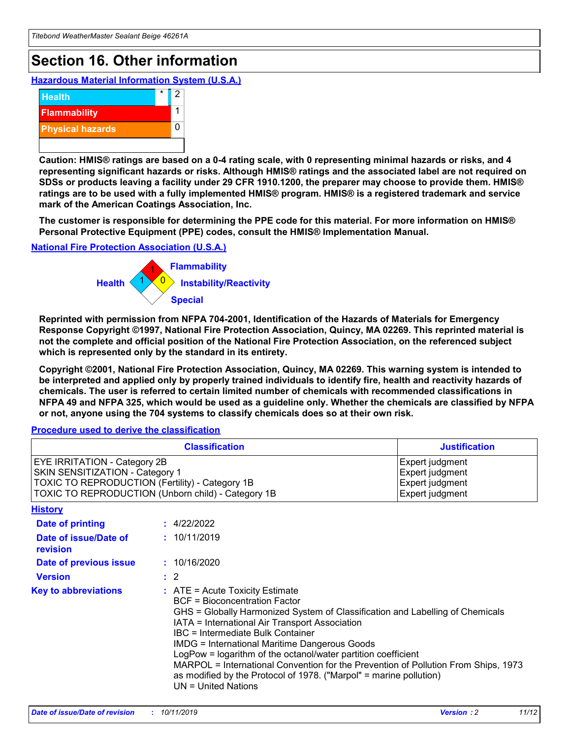# **Section 16. Other information**

**Hazardous Material Information System (U.S.A.)**



**Caution: HMIS® ratings are based on a 0-4 rating scale, with 0 representing minimal hazards or risks, and 4 representing significant hazards or risks. Although HMIS® ratings and the associated label are not required on SDSs or products leaving a facility under 29 CFR 1910.1200, the preparer may choose to provide them. HMIS® ratings are to be used with a fully implemented HMIS® program. HMIS® is a registered trademark and service mark of the American Coatings Association, Inc.**

**The customer is responsible for determining the PPE code for this material. For more information on HMIS® Personal Protective Equipment (PPE) codes, consult the HMIS® Implementation Manual.**

#### **National Fire Protection Association (U.S.A.)**



**Reprinted with permission from NFPA 704-2001, Identification of the Hazards of Materials for Emergency Response Copyright ©1997, National Fire Protection Association, Quincy, MA 02269. This reprinted material is not the complete and official position of the National Fire Protection Association, on the referenced subject which is represented only by the standard in its entirety.**

**Copyright ©2001, National Fire Protection Association, Quincy, MA 02269. This warning system is intended to be interpreted and applied only by properly trained individuals to identify fire, health and reactivity hazards of chemicals. The user is referred to certain limited number of chemicals with recommended classifications in NFPA 49 and NFPA 325, which would be used as a guideline only. Whether the chemicals are classified by NFPA or not, anyone using the 704 systems to classify chemicals does so at their own risk.**

**Procedure used to derive the classification**

| <b>Classification</b>                                                                                                                                                    |                                                                                                                                                  | <b>Justification</b>                                                                                                                                                                                                                                                                                                                                                                                                 |  |
|--------------------------------------------------------------------------------------------------------------------------------------------------------------------------|--------------------------------------------------------------------------------------------------------------------------------------------------|----------------------------------------------------------------------------------------------------------------------------------------------------------------------------------------------------------------------------------------------------------------------------------------------------------------------------------------------------------------------------------------------------------------------|--|
| EYE IRRITATION - Category 2B<br>SKIN SENSITIZATION - Category 1<br>TOXIC TO REPRODUCTION (Fertility) - Category 1B<br>TOXIC TO REPRODUCTION (Unborn child) - Category 1B |                                                                                                                                                  | Expert judgment<br>Expert judgment<br>Expert judgment<br>Expert judgment                                                                                                                                                                                                                                                                                                                                             |  |
| <b>History</b>                                                                                                                                                           |                                                                                                                                                  |                                                                                                                                                                                                                                                                                                                                                                                                                      |  |
| Date of printing                                                                                                                                                         | : 4/22/2022                                                                                                                                      |                                                                                                                                                                                                                                                                                                                                                                                                                      |  |
| Date of issue/Date of<br>revision                                                                                                                                        | : 10/11/2019                                                                                                                                     |                                                                                                                                                                                                                                                                                                                                                                                                                      |  |
| Date of previous issue                                                                                                                                                   | : 10/16/2020                                                                                                                                     |                                                                                                                                                                                                                                                                                                                                                                                                                      |  |
| <b>Version</b>                                                                                                                                                           | $\therefore$ 2                                                                                                                                   |                                                                                                                                                                                                                                                                                                                                                                                                                      |  |
| <b>Key to abbreviations</b>                                                                                                                                              | $\therefore$ ATE = Acute Toxicity Estimate<br><b>BCF</b> = Bioconcentration Factor<br>IBC = Intermediate Bulk Container<br>$UN = United Nations$ | GHS = Globally Harmonized System of Classification and Labelling of Chemicals<br>IATA = International Air Transport Association<br><b>IMDG = International Maritime Dangerous Goods</b><br>LogPow = logarithm of the octanol/water partition coefficient<br>MARPOL = International Convention for the Prevention of Pollution From Ships, 1973<br>as modified by the Protocol of 1978. ("Marpol" = marine pollution) |  |